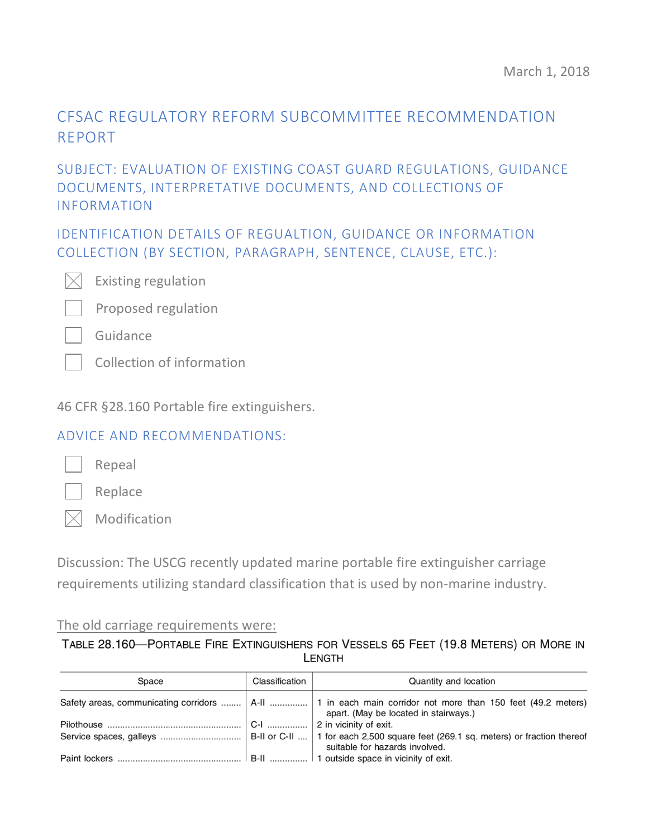# CFSAC REGULATORY REFORM SUBCOMMITTEE RECOMMENDATION REPORT

# SUBJECT: EVALUATION OF EXISTING COAST GUARD REGULATIONS, GUIDANCE DOCUMENTS, INTERPRETATIVE DOCUMENTS, AND COLLECTIONS OF INFORMATION

IDENTIFICATION DETAILS OF REGUALTION, GUIDANCE OR INFORMATION COLLECTION (BY SECTION, PARAGRAPH, SENTENCE, CLAUSE, ETC.):



Existing regulation



Guidance

Collection of information

46 CFR §28.160 Portable fire extinguishers.

## ADVICE AND RECOMMENDATIONS:



Replace

Repeal

 $\boxtimes$  Modification

Discussion: The USCG recently updated marine portable fire extinguisher carriage requirements utilizing standard classification that is used by non-marine industry.

### The old carriage requirements were:

TABLE 28.160-PORTABLE FIRE EXTINGUISHERS FOR VESSELS 65 FEET (19.8 METERS) OR MORE IN **LENGTH** 

| Space | Classification | Quantity and location                                                                                                                                  |
|-------|----------------|--------------------------------------------------------------------------------------------------------------------------------------------------------|
|       |                | Safety areas, communicating corridors    A-II    1 in each main corridor not more than 150 feet (49.2 meters)<br>apart. (May be located in stairways.) |
|       |                | $ C-1$ 2 in vicinity of exit.                                                                                                                          |
|       |                | suitable for hazards involved.                                                                                                                         |
|       |                |                                                                                                                                                        |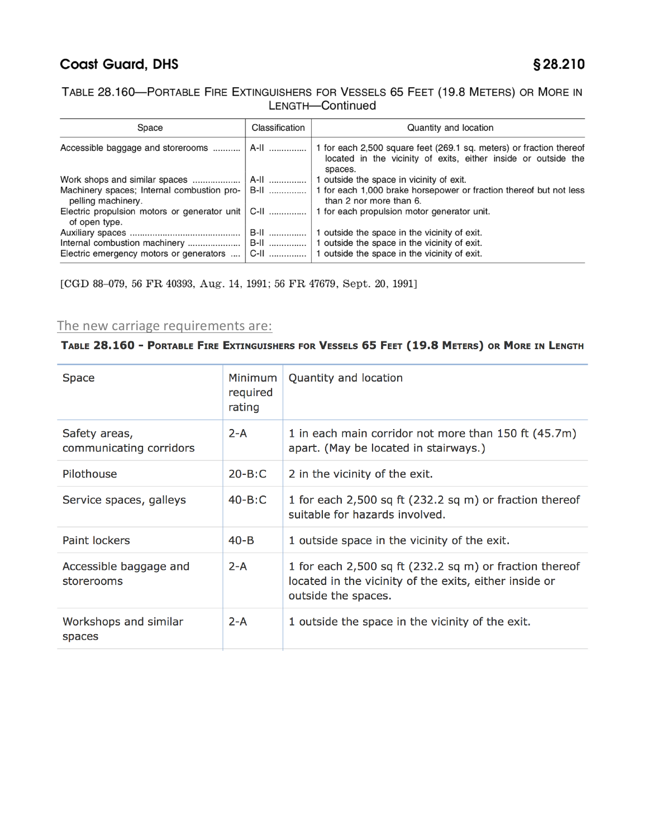## **Coast Guard, DHS**

### TABLE 28.160-PORTABLE FIRE EXTINGUISHERS FOR VESSELS 65 FEET (19.8 METERS) OR MORE IN LENGTH-Continued

| Space                                                                | Classification | Quantity and location                                                                                                                              |
|----------------------------------------------------------------------|----------------|----------------------------------------------------------------------------------------------------------------------------------------------------|
|                                                                      |                | 1 for each 2,500 square feet (269.1 sq. meters) or fraction thereof<br>located in the vicinity of exits, either inside or outside the<br>spaces.   |
| Work shops and similar spaces                                        |                | 1 outside the space in vicinity of exit.                                                                                                           |
| pelling machinery.                                                   |                | Machinery spaces; Internal combustion pro-   B-II    1 for each 1,000 brake horsepower or fraction thereof but not less<br>than 2 nor more than 6. |
| Electric propulsion motors or generator unit   C-II<br>of open type. |                | 1 for each propulsion motor generator unit.                                                                                                        |
| Electric emergency motors or generators                              | B-II           | 1 outside the space in the vicinity of exit.<br>C-II    1 outside the space in the vicinity of exit.                                               |

[CGD 88-079, 56 FR 40393, Aug. 14, 1991; 56 FR 47679, Sept. 20, 1991]

### The new carriage requirements are:

#### TABLE 28.160 - PORTABLE FIRE EXTINGUISHERS FOR VESSELS 65 FEET (19.8 METERS) OR MORE IN LENGTH

| <b>Space</b>                             | Minimum<br>required<br>rating | Quantity and location                                                                                                                    |
|------------------------------------------|-------------------------------|------------------------------------------------------------------------------------------------------------------------------------------|
| Safety areas,<br>communicating corridors | $2 - A$                       | 1 in each main corridor not more than 150 ft (45.7m)<br>apart. (May be located in stairways.)                                            |
| Pilothouse                               | $20 - B: C$                   | 2 in the vicinity of the exit.                                                                                                           |
| Service spaces, galleys                  | $40 - B: C$                   | 1 for each 2,500 sq ft (232.2 sq m) or fraction thereof<br>suitable for hazards involved.                                                |
| Paint lockers                            | $40 - B$                      | 1 outside space in the vicinity of the exit.                                                                                             |
| Accessible baggage and<br>storerooms     | $2-A$                         | 1 for each 2,500 sq ft (232.2 sq m) or fraction thereof<br>located in the vicinity of the exits, either inside or<br>outside the spaces. |
| Workshops and similar<br>spaces          | $2 - A$                       | 1 outside the space in the vicinity of the exit.                                                                                         |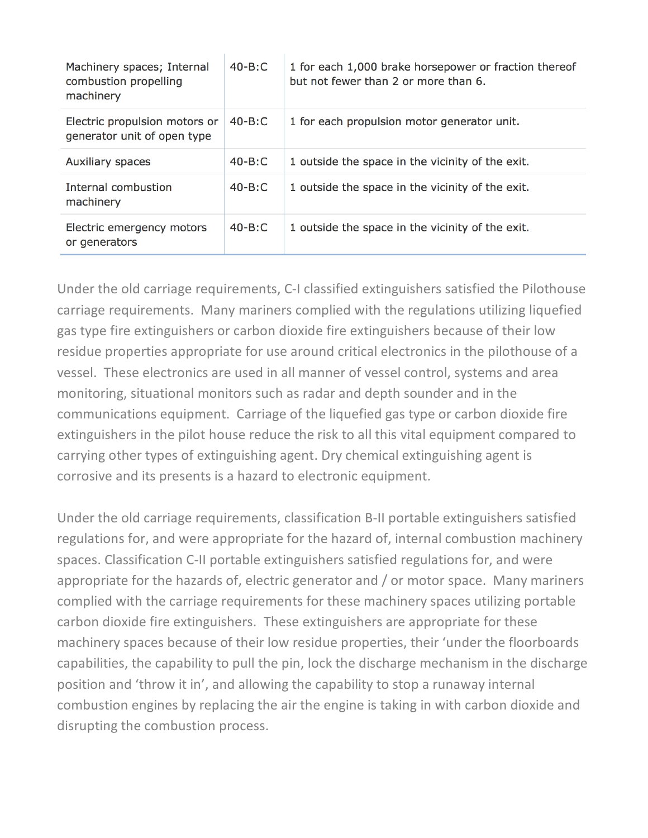| Machinery spaces; Internal<br>combustion propelling<br>machinery | $40 - B: C$ | 1 for each 1,000 brake horsepower or fraction thereof<br>but not fewer than 2 or more than 6. |
|------------------------------------------------------------------|-------------|-----------------------------------------------------------------------------------------------|
| Electric propulsion motors or<br>generator unit of open type     | $40 - B: C$ | 1 for each propulsion motor generator unit.                                                   |
| <b>Auxiliary spaces</b>                                          | $40 - B: C$ | 1 outside the space in the vicinity of the exit.                                              |
| Internal combustion<br>machinery                                 | $40 - B: C$ | 1 outside the space in the vicinity of the exit.                                              |
| Electric emergency motors<br>or generators                       | $40 - B: C$ | 1 outside the space in the vicinity of the exit.                                              |

Under the old carriage requirements, C-I classified extinguishers satisfied the Pilothouse carriage requirements. Many mariners complied with the regulations utilizing liquefied gas type fire extinguishers or carbon dioxide fire extinguishers because of their low residue properties appropriate for use around critical electronics in the pilothouse of a vessel. These electronics are used in all manner of vessel control, systems and area monitoring, situational monitors such as radar and depth sounder and in the communications equipment. Carriage of the liquefied gas type or carbon dioxide fire extinguishers in the pilot house reduce the risk to all this vital equipment compared to carrying other types of extinguishing agent. Dry chemical extinguishing agent is corrosive and its presents is a hazard to electronic equipment.

Under the old carriage requirements, classification B-II portable extinguishers satisfied regulations for, and were appropriate for the hazard of, internal combustion machinery spaces. Classification C-II portable extinguishers satisfied regulations for, and were appropriate for the hazards of, electric generator and / or motor space. Many mariners complied with the carriage requirements for these machinery spaces utilizing portable carbon dioxide fire extinguishers. These extinguishers are appropriate for these machinery spaces because of their low residue properties, their 'under the floorboards capabilities, the capability to pull the pin, lock the discharge mechanism in the discharge position and 'throw it in', and allowing the capability to stop a runaway internal combustion engines by replacing the air the engine is taking in with carbon dioxide and disrupting the combustion process.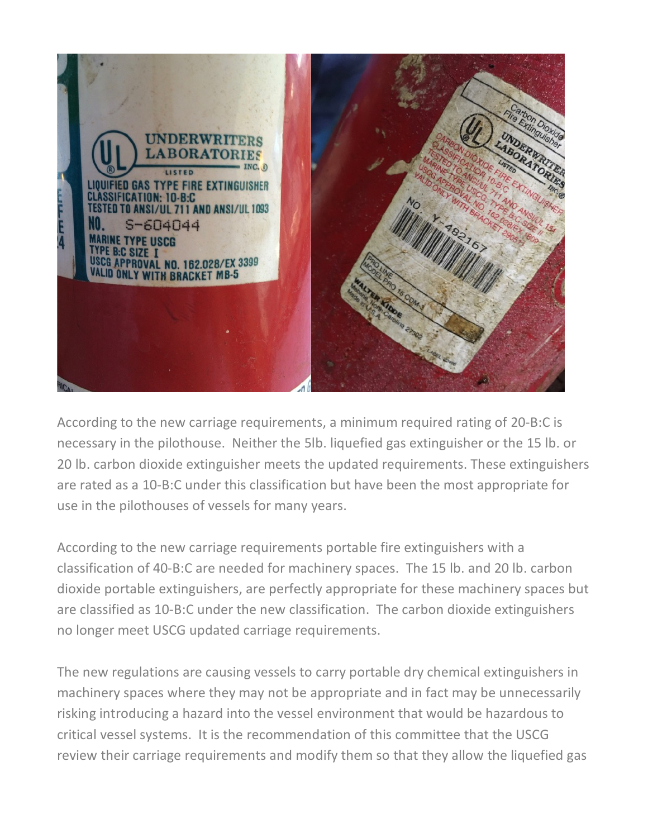

According to the new carriage requirements, a minimum required rating of 20-B:C is necessary in the pilothouse. Neither the 5lb. liquefied gas extinguisher or the 15 lb. or 20 lb. carbon dioxide extinguisher meets the updated requirements. These extinguishers are rated as a 10-B:C under this classification but have been the most appropriate for use in the pilothouses of vessels for many years.

According to the new carriage requirements portable fire extinguishers with a classification of 40-B:C are needed for machinery spaces. The 15 lb. and 20 lb. carbon dioxide portable extinguishers, are perfectly appropriate for these machinery spaces but are classified as 10-B:C under the new classification. The carbon dioxide extinguishers no longer meet USCG updated carriage requirements.

The new regulations are causing vessels to carry portable dry chemical extinguishers in machinery spaces where they may not be appropriate and in fact may be unnecessarily risking introducing a hazard into the vessel environment that would be hazardous to critical vessel systems. It is the recommendation of this committee that the USCG review their carriage requirements and modify them so that they allow the liquefied gas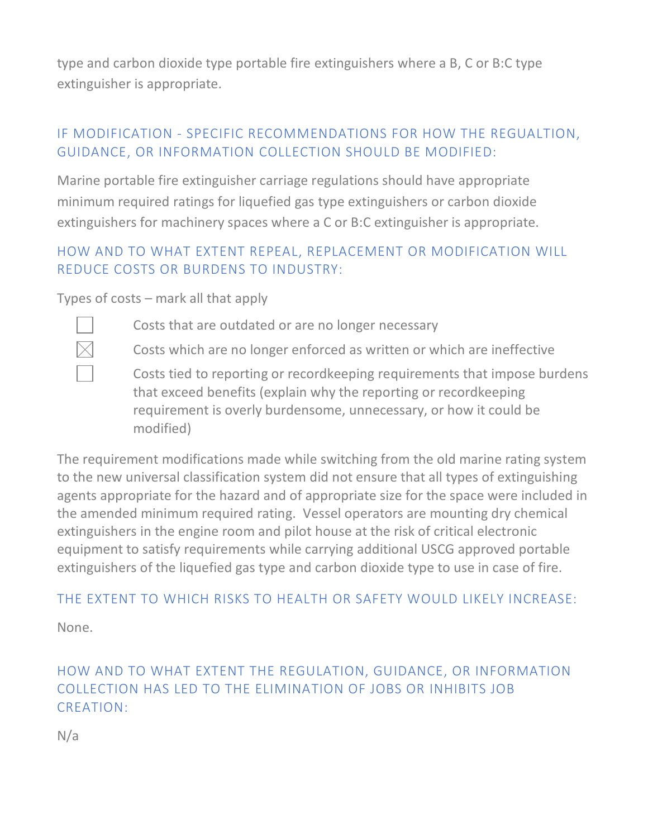type and carbon dioxide type portable fire extinguishers where a B, C or B:C type extinguisher is appropriate.

# IF MODIFICATION - SPECIFIC RECOMMENDATIONS FOR HOW THE REGUALTION, GUIDANCE, OR INFORMATION COLLECTION SHOULD BE MODIFIED:

Marine portable fire extinguisher carriage regulations should have appropriate minimum required ratings for liquefied gas type extinguishers or carbon dioxide extinguishers for machinery spaces where a C or B:C extinguisher is appropriate.

# HOW AND TO WHAT EXTENT REPEAL, REPLACEMENT OR MODIFICATION WILL REDUCE COSTS OR BURDENS TO INDUSTRY:

Types of costs – mark all that apply





Costs which are no longer enforced as written or which are ineffective

Costs tied to reporting or recordkeeping requirements that impose burdens that exceed benefits (explain why the reporting or recordkeeping requirement is overly burdensome, unnecessary, or how it could be modified)

The requirement modifications made while switching from the old marine rating system to the new universal classification system did not ensure that all types of extinguishing agents appropriate for the hazard and of appropriate size for the space were included in the amended minimum required rating. Vessel operators are mounting dry chemical extinguishers in the engine room and pilot house at the risk of critical electronic equipment to satisfy requirements while carrying additional USCG approved portable extinguishers of the liquefied gas type and carbon dioxide type to use in case of fire.

## THE EXTENT TO WHICH RISKS TO HEALTH OR SAFETY WOULD LIKELY INCREASE:

None.

# HOW AND TO WHAT EXTENT THE REGULATION, GUIDANCE, OR INFORMATION COLLECTION HAS LED TO THE ELIMINATION OF JOBS OR INHIBITS JOB CREATION:

N/a